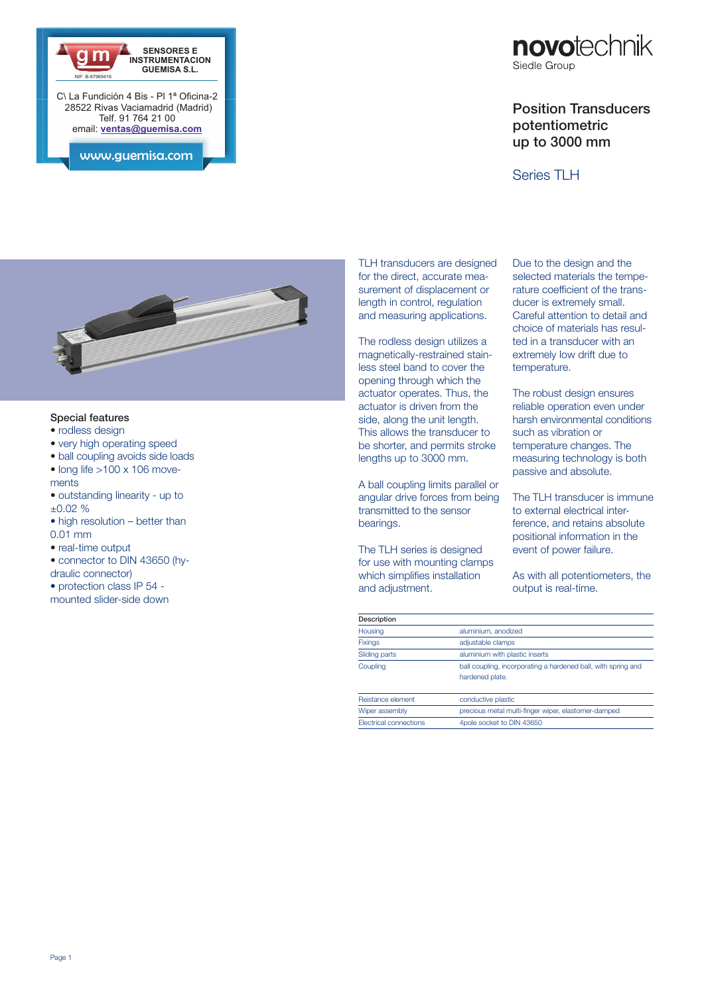



## Position Transducers potentiometric up to 3000 mm

## Series TLH



## Special features

- rodless design
- very high operating speed
- ball coupling avoids side loads  $\bullet$  long life  $>100 \times 106$  move-
- ments
- outstanding linearity up to  $\pm 0.02 \%$
- high resolution better than 0.01 mm
- real-time output
- connector to DIN 43650 (hy-
- draulic connector) • protection class IP 54 -

mounted slider-side down

TLH transducers are designed for the direct, accurate measurement of displacement or length in control, regulation and measuring applications.

The rodless design utilizes a magnetically-restrained stainless steel band to cover the opening through which the actuator operates. Thus, the actuator is driven from the side, along the unit length. This allows the transducer to be shorter, and permits stroke lengths up to 3000 mm.

A ball coupling limits parallel or angular drive forces from being transmitted to the sensor bearings.

The TLH series is designed for use with mounting clamps which simplifies installation and adjustment.

Due to the design and the selected materials the temperature coefficient of the transducer is extremely small. Careful attention to detail and choice of materials has resulted in a transducer with an extremely low drift due to temperature.

The robust design ensures reliable operation even under harsh environmental conditions such as vibration or temperature changes. The measuring technology is both passive and absolute.

The TLH transducer is immune to external electrical interference, and retains absolute positional information in the event of power failure.

As with all potentiometers, the output is real-time.

| Description            |                                                               |  |  |  |
|------------------------|---------------------------------------------------------------|--|--|--|
| Housing                | aluminium, anodized                                           |  |  |  |
| <b>Fixings</b>         | adjustable clamps                                             |  |  |  |
| Sliding parts          | aluminium with plastic inserts                                |  |  |  |
| Coupling               | ball coupling, incorporating a hardened ball, with spring and |  |  |  |
|                        | hardened plate.                                               |  |  |  |
| Reistance element      | conductive plastic                                            |  |  |  |
| Wiper assembly         | precious metal multi-finger wiper, elastomer-damped           |  |  |  |
| Electrical connections | 4pole socket to DIN 43650                                     |  |  |  |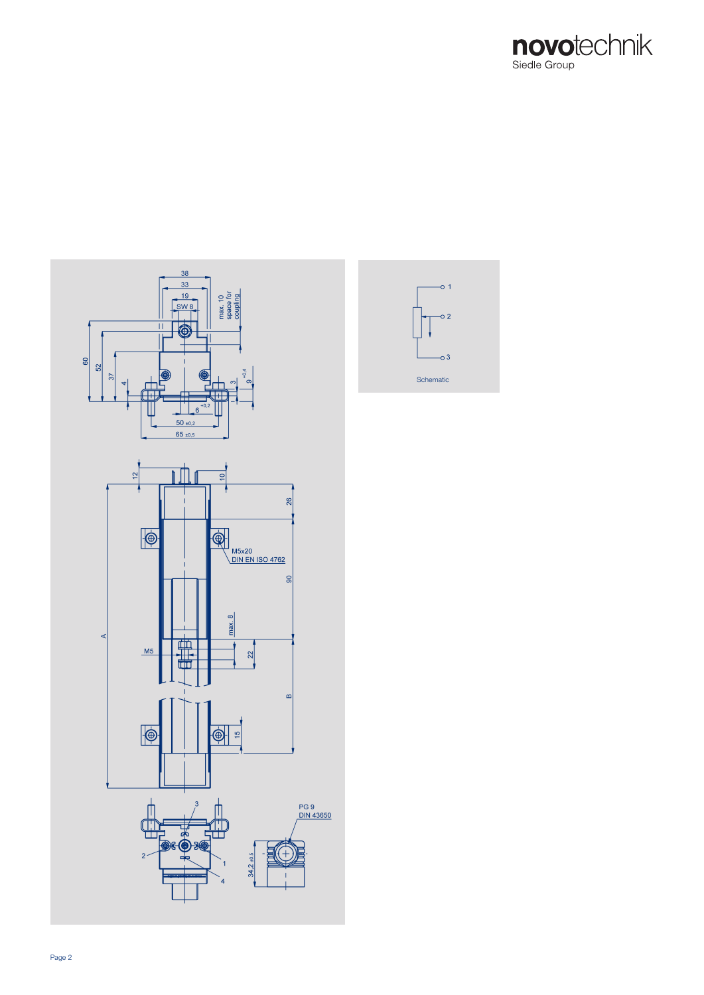



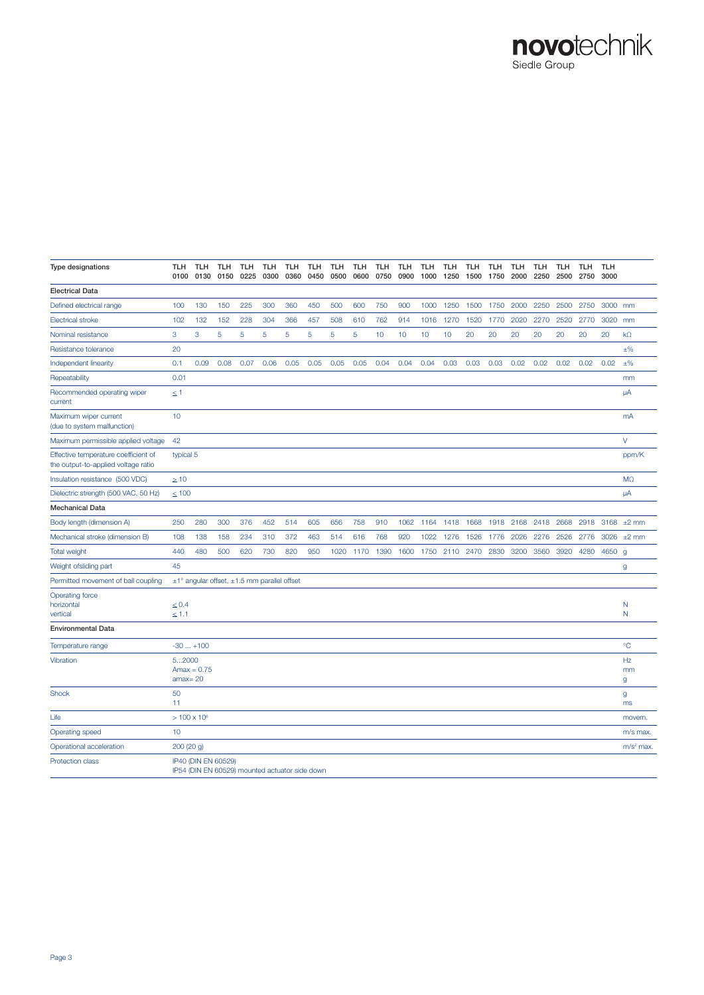# novotechnik

| Type designations                                                           | TLH<br>0100              | <b>TLH</b><br>0130  | <b>TLH</b><br>0150  | <b>TLH</b><br>0225 | <b>TLH</b><br>0300                                    | <b>TLH</b><br>0360 | <b>TLH</b><br>0450 | <b>TLH</b><br>0500 | <b>TLH</b><br>0600 | <b>TLH</b><br>0750 | <b>TLH</b><br>0900 | <b>TLH</b><br>1000 | <b>TLH</b><br>1250 | <b>TLH</b><br>1500 | <b>TLH</b><br>1750 | <b>TLH</b><br>2000 | <b>TLH</b><br>2250 | <b>TLH</b><br>2500 | <b>TLH</b><br>2750 | <b>TLH</b><br>3000 |               |
|-----------------------------------------------------------------------------|--------------------------|---------------------|---------------------|--------------------|-------------------------------------------------------|--------------------|--------------------|--------------------|--------------------|--------------------|--------------------|--------------------|--------------------|--------------------|--------------------|--------------------|--------------------|--------------------|--------------------|--------------------|---------------|
| <b>Electrical Data</b>                                                      |                          |                     |                     |                    |                                                       |                    |                    |                    |                    |                    |                    |                    |                    |                    |                    |                    |                    |                    |                    |                    |               |
| Defined electrical range                                                    | 100                      | 130                 | 150                 | 225                | 300                                                   | 360                | 450                | 500                | 600                | 750                | 900                | 1000               | 1250               | 1500               | 1750               | 2000               | 2250               | 2500               | 2750               | 3000               | mm            |
| <b>Electrical stroke</b>                                                    | 102                      | 132                 | 152                 | 228                | 304                                                   | 366                | 457                | 508                | 610                | 762                | 914                | 1016               | 1270               | 1520               | 1770               | 2020               | 2270               | 2520               | 2770               | 3020               | mm            |
| Nominal resistance                                                          | 3                        | 3                   | 5                   | 5                  | 5                                                     | 5                  | 5                  | 5                  | 5                  | 10                 | 10                 | 10                 | 10                 | 20                 | 20                 | 20                 | 20                 | 20                 | 20                 | 20                 | $k\Omega$     |
| Resistance tolerance                                                        | 20                       |                     |                     |                    |                                                       |                    |                    |                    |                    |                    |                    |                    |                    |                    |                    |                    |                    |                    |                    |                    | $±\%$         |
| Independent linearity                                                       | 0.1                      | 0.09                | 0.08                | 0.07               | 0.06                                                  | 0.05               | 0.05               | 0.05               | 0.05               | 0.04               | 0.04               | 0.04               | 0.03               | 0.03               | 0.03               | 0.02               | 0.02               | 0.02               | 0.02               | 0.02               | $±\%$         |
| Repeatability                                                               | 0.01                     |                     |                     |                    |                                                       |                    |                    |                    |                    |                    |                    |                    |                    |                    |                    |                    |                    |                    |                    |                    | mm            |
| Recommended operating wiper<br>current                                      | $\leq 1$                 |                     |                     |                    |                                                       |                    |                    |                    |                    |                    |                    |                    |                    |                    |                    |                    |                    |                    |                    |                    | μA            |
| Maximum wiper current<br>(due to system malfunction)                        | 10                       |                     |                     |                    |                                                       |                    |                    |                    |                    |                    |                    |                    |                    |                    |                    |                    |                    |                    |                    |                    | mA            |
| Maximum permissible applied voltage                                         | 42                       |                     |                     |                    |                                                       |                    |                    |                    |                    |                    |                    |                    |                    |                    |                    |                    |                    |                    |                    |                    | $\vee$        |
| Effective temperature coefficient of<br>the output-to-applied voltage ratio | typical 5                |                     |                     |                    |                                                       |                    |                    |                    |                    |                    |                    |                    |                    |                    |                    |                    |                    |                    |                    |                    | ppm/K         |
| Insulation resistance (500 VDC)                                             | $\geq 10$                |                     |                     |                    |                                                       |                    |                    |                    |                    |                    |                    |                    |                    |                    |                    |                    |                    |                    |                    |                    | $M\Omega$     |
| Dielectric strength (500 VAC, 50 Hz)                                        | $\leq 100$               |                     |                     |                    |                                                       |                    |                    |                    |                    |                    |                    |                    |                    |                    |                    |                    |                    |                    |                    |                    | μA            |
| <b>Mechanical Data</b>                                                      |                          |                     |                     |                    |                                                       |                    |                    |                    |                    |                    |                    |                    |                    |                    |                    |                    |                    |                    |                    |                    |               |
| Body length (dimension A)                                                   | 250                      | 280                 | 300                 | 376                | 452                                                   | 514                | 605                | 656                | 758                | 910                | 1062               | 1164               | 1418               | 1668               | 1918               | 2168               | 2418               | 2668               | 2918               |                    | 3168 $±2$ mm  |
| Mechanical stroke (dimension B)                                             | 108                      | 138                 | 158                 | 234                | 310                                                   | 372                | 463                | 514                | 616                | 768                | 920                | 1022               | 1276               | 1526               | 1776               | 2026               | 2276               | 2526               | 2776               |                    | 3026 ±2 mm    |
| Total weight                                                                | 440                      | 480                 | 500                 | 620                | 730                                                   | 820                | 950                | 1020               | 1170               | 1390               | 1600               | 1750               | 2110               | 2470               | 2830               | 3200               | 3560               | 3920               | 4280               | 4650               | g             |
| Weight ofsliding part                                                       | 45                       |                     |                     |                    |                                                       |                    |                    |                    |                    |                    |                    |                    |                    |                    |                    |                    |                    |                    |                    |                    | g             |
| Permitted movement of ball coupling                                         |                          |                     |                     |                    | $\pm$ 1° angular offset, $\pm$ 1.5 mm parallel offset |                    |                    |                    |                    |                    |                    |                    |                    |                    |                    |                    |                    |                    |                    |                    |               |
| Operating force<br>horizontal<br>vertical                                   | $\leq 0.4$<br>$\leq 1.1$ |                     |                     |                    |                                                       |                    |                    |                    |                    |                    |                    |                    |                    |                    |                    |                    |                    |                    |                    |                    | N<br>N        |
| <b>Environmental Data</b>                                                   |                          |                     |                     |                    |                                                       |                    |                    |                    |                    |                    |                    |                    |                    |                    |                    |                    |                    |                    |                    |                    |               |
| Temperature range                                                           |                          | $-30+100$           |                     |                    |                                                       |                    |                    |                    |                    |                    |                    |                    |                    |                    |                    |                    |                    |                    |                    |                    | $^{\circ}C$   |
| Vibration                                                                   | 52000<br>$amax = 20$     | $Amax = 0.75$       |                     |                    |                                                       |                    |                    |                    |                    |                    |                    |                    |                    |                    |                    |                    |                    |                    |                    |                    | Hz<br>mm<br>g |
| Shock                                                                       | 50<br>11                 |                     |                     |                    |                                                       |                    |                    |                    |                    |                    |                    |                    |                    |                    |                    |                    |                    |                    |                    |                    | g<br>ms       |
| Life                                                                        |                          | $> 100 \times 10^6$ |                     |                    |                                                       |                    |                    |                    |                    |                    |                    |                    |                    |                    |                    |                    |                    |                    |                    |                    | movem.        |
| Operating speed                                                             | 10                       |                     |                     |                    |                                                       |                    |                    |                    |                    |                    |                    |                    |                    |                    |                    |                    |                    |                    |                    |                    | m/s max.      |
| Operational acceleration                                                    | 200 (20 g)               |                     |                     |                    |                                                       |                    |                    |                    |                    |                    |                    |                    |                    |                    |                    |                    |                    |                    |                    |                    | $m/s2$ max.   |
| <b>Protection class</b>                                                     |                          |                     | IP40 (DIN EN 60529) |                    | IP54 (DIN EN 60529) mounted actuator side down        |                    |                    |                    |                    |                    |                    |                    |                    |                    |                    |                    |                    |                    |                    |                    |               |